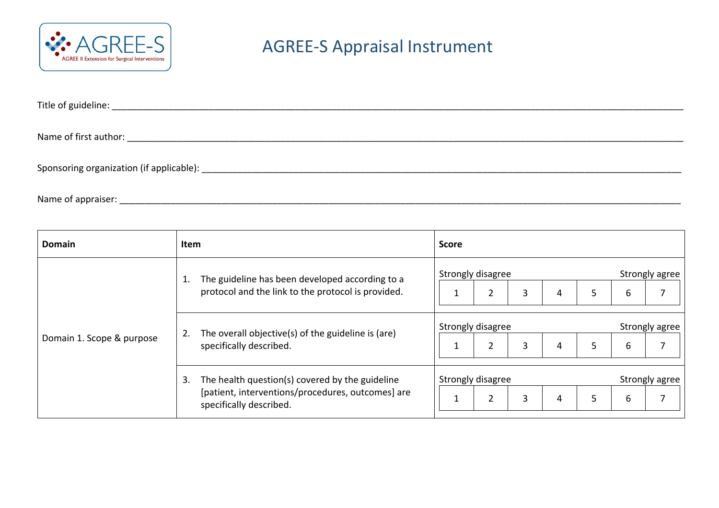

## AGREE-S Appraisal Instrument

| Title of guideline:                      |  |  |
|------------------------------------------|--|--|
|                                          |  |  |
| Name of first author:                    |  |  |
|                                          |  |  |
| Sponsoring organization (if applicable): |  |  |

Name of appraiser: \_\_\_\_\_\_\_\_\_\_\_\_\_\_\_\_\_\_\_\_\_\_\_\_\_\_\_\_\_\_\_\_\_\_\_\_\_\_\_\_\_\_\_\_\_\_\_\_\_\_\_\_\_\_\_\_\_\_\_\_\_\_\_\_\_\_\_\_\_\_\_\_\_\_\_\_\_\_\_\_\_\_\_\_\_\_\_\_\_\_\_\_\_\_\_\_\_\_\_\_\_\_\_\_\_\_\_\_\_\_

| Domain                    | Item                                                                                                                                  | <b>Score</b>                                                         |                          |  |  |  |
|---------------------------|---------------------------------------------------------------------------------------------------------------------------------------|----------------------------------------------------------------------|--------------------------|--|--|--|
| Domain 1. Scope & purpose | The guideline has been developed according to a<br>protocol and the link to the protocol is provided.                                 | Strongly disagree<br>$\overline{2}$<br>3<br>4<br>5                   | Strongly agree<br>6<br>7 |  |  |  |
|                           | The overall objective(s) of the guideline is (are)<br>2.<br>specifically described.                                                   | Strongly disagree<br>$\overline{2}$<br>3<br>5<br>$\overline{4}$<br>ᆚ | Strongly agree<br>7<br>6 |  |  |  |
|                           | The health question(s) covered by the guideline<br>3.<br>[patient, interventions/procedures, outcomes] are<br>specifically described. | Strongly disagree<br>$\overline{2}$<br>3<br>5<br>4<br>J.             | Strongly agree<br>6<br>7 |  |  |  |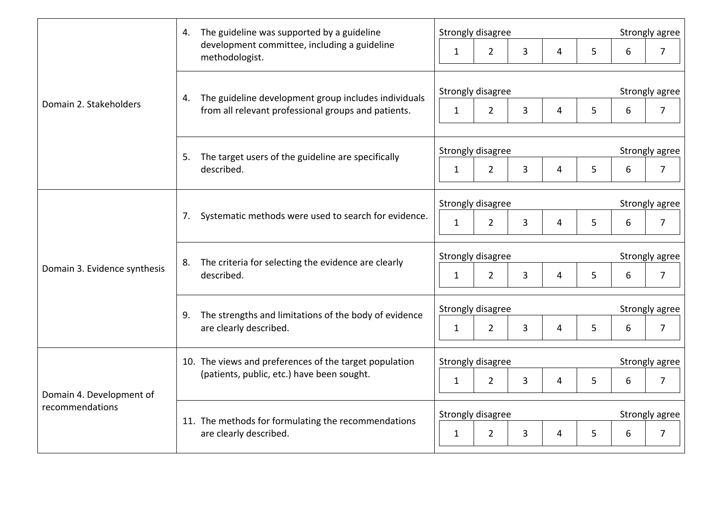| Domain 2. Stakeholders                      | 4. The guideline was supported by a guideline<br>development committee, including a guideline<br>methodologist.   | Strongly disagree                   |                                  |                |   | Strongly agree |                |  |
|---------------------------------------------|-------------------------------------------------------------------------------------------------------------------|-------------------------------------|----------------------------------|----------------|---|----------------|----------------|--|
|                                             |                                                                                                                   | 1                                   | $\overline{3}$<br>$\overline{2}$ | $\overline{4}$ | 5 | 6              | $\overline{7}$ |  |
|                                             | The guideline development group includes individuals<br>4.<br>from all relevant professional groups and patients. | Strongly disagree                   |                                  |                |   |                | Strongly agree |  |
|                                             |                                                                                                                   | $\mathbf{1}$                        | $\overline{2}$<br>$\overline{3}$ | 4              | 5 | 6              | $\overline{7}$ |  |
|                                             | The target users of the guideline are specifically<br>5.<br>described.                                            | Strongly disagree                   |                                  |                |   | Strongly agree |                |  |
|                                             |                                                                                                                   | $\mathbf{1}$                        | $\overline{2}$<br>3              | 4              | 5 | 6              | $\overline{7}$ |  |
| Domain 3. Evidence synthesis                | Systematic methods were used to search for evidence.<br>7.                                                        | Strongly disagree                   |                                  |                |   | Strongly agree |                |  |
|                                             |                                                                                                                   | $\mathbf{1}$                        | $\overline{2}$<br>3              | 4              | 5 | 6              | $\overline{7}$ |  |
|                                             | The criteria for selecting the evidence are clearly<br>8.<br>described.                                           | Strongly disagree                   |                                  |                |   | Strongly agree |                |  |
|                                             |                                                                                                                   | $\mathbf{1}$                        | $\overline{2}$<br>3              | $\overline{4}$ | 5 | 6              | $\overline{7}$ |  |
|                                             | The strengths and limitations of the body of evidence<br>9.<br>are clearly described.                             | Strongly disagree                   |                                  |                |   | Strongly agree |                |  |
|                                             |                                                                                                                   | $\mathbf{1}$                        | $\overline{3}$<br>$\overline{2}$ | $\overline{4}$ | 5 | 6              | $\overline{7}$ |  |
| Domain 4. Development of<br>recommendations | 10. The views and preferences of the target population<br>(patients, public, etc.) have been sought.              | Strongly disagree<br>Strongly agree |                                  |                |   |                |                |  |
|                                             |                                                                                                                   | $\mathbf{1}$                        | $\overline{2}$<br>3              | 4              | 5 | 6              | $\overline{7}$ |  |
|                                             | 11. The methods for formulating the recommendations<br>are clearly described.                                     | Strongly disagree                   |                                  |                |   |                | Strongly agree |  |
|                                             |                                                                                                                   | $\mathbf{1}$                        | $\overline{2}$<br>3              | 4              | 5 | 6              | $\overline{7}$ |  |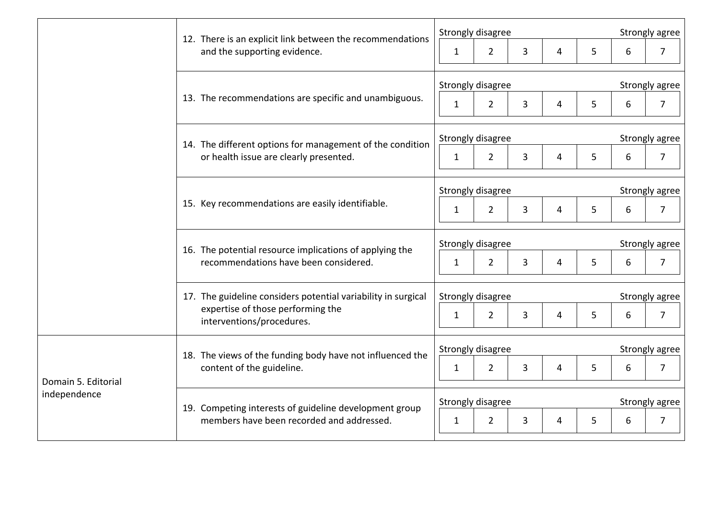|                                     | 12. There is an explicit link between the recommendations<br>and the supporting evidence.                                       | Strongly disagree |                |                |   |                | Strongly agree |                |  |
|-------------------------------------|---------------------------------------------------------------------------------------------------------------------------------|-------------------|----------------|----------------|---|----------------|----------------|----------------|--|
|                                     |                                                                                                                                 | 1                 | $\overline{2}$ | $\overline{3}$ | 4 | 5              | 6              | $\overline{7}$ |  |
|                                     | 13. The recommendations are specific and unambiguous.                                                                           | Strongly disagree |                |                |   |                | Strongly agree |                |  |
|                                     |                                                                                                                                 | $\mathbf{1}$      | $2^{\circ}$    | $\overline{3}$ | 4 | 5              | 6              | $\overline{7}$ |  |
|                                     | 14. The different options for management of the condition<br>or health issue are clearly presented.                             | Strongly disagree |                |                |   |                | Strongly agree |                |  |
|                                     |                                                                                                                                 | $\mathbf{1}$      | $\overline{2}$ | 3              | 4 | 5              | 6              | $\overline{7}$ |  |
|                                     | 15. Key recommendations are easily identifiable.                                                                                | Strongly disagree |                |                |   | Strongly agree |                |                |  |
|                                     |                                                                                                                                 | $\mathbf{1}$      | $\overline{2}$ | 3              | 4 | 5              | 6              | $\overline{7}$ |  |
|                                     | 16. The potential resource implications of applying the<br>recommendations have been considered.                                | Strongly disagree |                |                |   | Strongly agree |                |                |  |
|                                     |                                                                                                                                 | $\mathbf{1}$      | $\overline{2}$ | $\overline{3}$ | 4 | 5              | 6              | $\overline{7}$ |  |
|                                     | 17. The guideline considers potential variability in surgical<br>expertise of those performing the<br>interventions/procedures. | Strongly disagree |                |                |   |                | Strongly agree |                |  |
|                                     |                                                                                                                                 | $\mathbf{1}$      | $\overline{2}$ | 3              | 4 | 5              | 6              | $\overline{7}$ |  |
| Domain 5. Editorial<br>independence | 18. The views of the funding body have not influenced the<br>content of the guideline.                                          | Strongly disagree |                |                |   |                | Strongly agree |                |  |
|                                     |                                                                                                                                 | $\mathbf{1}$      | $\overline{2}$ | 3              | 4 | 5              | 6              | $\overline{7}$ |  |
|                                     | 19. Competing interests of guideline development group<br>members have been recorded and addressed.                             | Strongly disagree |                |                |   | Strongly agree |                |                |  |
|                                     |                                                                                                                                 | 1                 | $\overline{2}$ | $\overline{3}$ | 4 | 5              | 6              | $\overline{7}$ |  |
|                                     |                                                                                                                                 |                   |                |                |   |                |                |                |  |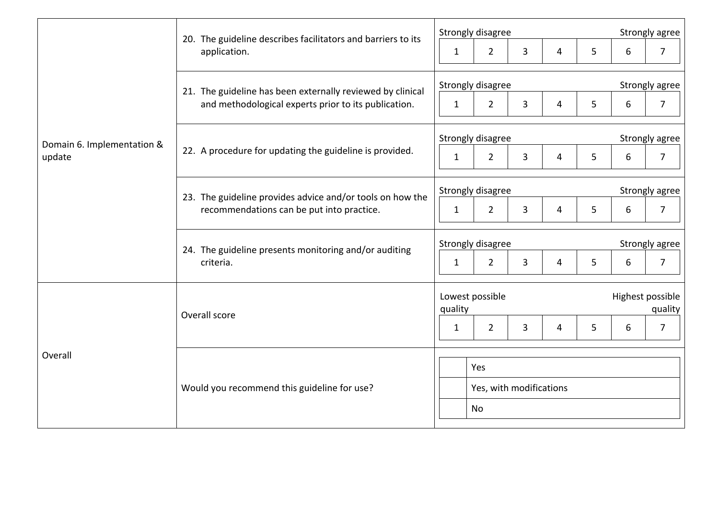| Domain 6. Implementation &<br>update | 20. The guideline describes facilitators and barriers to its<br>application.                                       | Strongly disagree                                          | Strongly agree              |  |  |  |  |
|--------------------------------------|--------------------------------------------------------------------------------------------------------------------|------------------------------------------------------------|-----------------------------|--|--|--|--|
|                                      |                                                                                                                    | 3<br>5<br>$\overline{2}$<br>$\mathbf{1}$<br>4              | $\overline{7}$<br>6         |  |  |  |  |
|                                      | 21. The guideline has been externally reviewed by clinical<br>and methodological experts prior to its publication. | Strongly disagree                                          | Strongly agree              |  |  |  |  |
|                                      |                                                                                                                    | $\overline{2}$<br>3<br>5<br>4<br>$\mathbf{1}$              | 6<br>$\overline{7}$         |  |  |  |  |
|                                      | 22. A procedure for updating the guideline is provided.                                                            | Strongly disagree                                          | Strongly agree              |  |  |  |  |
|                                      |                                                                                                                    | $\overline{3}$<br>$\overline{2}$<br>5<br>$\mathbf{1}$<br>4 | $\overline{7}$<br>6         |  |  |  |  |
|                                      | 23. The guideline provides advice and/or tools on how the<br>recommendations can be put into practice.             | Strongly disagree<br>Strongly agree                        |                             |  |  |  |  |
|                                      |                                                                                                                    | $\overline{2}$<br>3<br>5<br>$\mathbf{1}$<br>4              | $\overline{7}$<br>6         |  |  |  |  |
|                                      | 24. The guideline presents monitoring and/or auditing<br>criteria.                                                 | Strongly disagree                                          | Strongly agree              |  |  |  |  |
|                                      |                                                                                                                    | $\overline{2}$<br>3<br>5<br>$\mathbf{1}$<br>4              | $\overline{7}$<br>6         |  |  |  |  |
| Overall                              | Overall score                                                                                                      | Lowest possible<br>quality                                 | Highest possible<br>quality |  |  |  |  |
|                                      |                                                                                                                    | $\overline{2}$<br>3<br>5<br>1<br>4                         | $\overline{7}$<br>6         |  |  |  |  |
|                                      |                                                                                                                    |                                                            |                             |  |  |  |  |
|                                      | Would you recommend this guideline for use?                                                                        | Yes<br>Yes, with modifications                             |                             |  |  |  |  |
|                                      |                                                                                                                    | No                                                         |                             |  |  |  |  |
|                                      |                                                                                                                    |                                                            |                             |  |  |  |  |